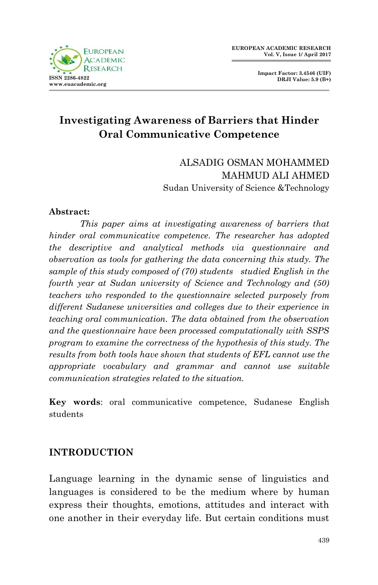

 **Impact Factor: 3.4546 (UIF) DRJI Value: 5.9 (B+)**

# **Investigating Awareness of Barriers that Hinder Oral Communicative Competence**

ALSADIG OSMAN MOHAMMED MAHMUD ALI AHMED Sudan University of Science &Technology

#### **Abstract:**

*This paper aims at investigating awareness of barriers that hinder oral communicative competence. The researcher has adopted the descriptive and analytical methods via questionnaire and observation as tools for gathering the data concerning this study. The sample of this study composed of (70) students studied English in the fourth year at Sudan university of Science and Technology and (50) teachers who responded to the questionnaire selected purposely from different Sudanese universities and colleges due to their experience in teaching oral communication. The data obtained from the observation and the questionnaire have been processed computationally with SSPS program to examine the correctness of the hypothesis of this study. The results from both tools have shown that students of EFL cannot use the appropriate vocabulary and grammar and cannot use suitable communication strategies related to the situation.*

**Key words**: oral communicative competence, Sudanese English students

## **INTRODUCTION**

Language learning in the dynamic sense of linguistics and languages is considered to be the medium where by human express their thoughts, emotions, attitudes and interact with one another in their everyday life. But certain conditions must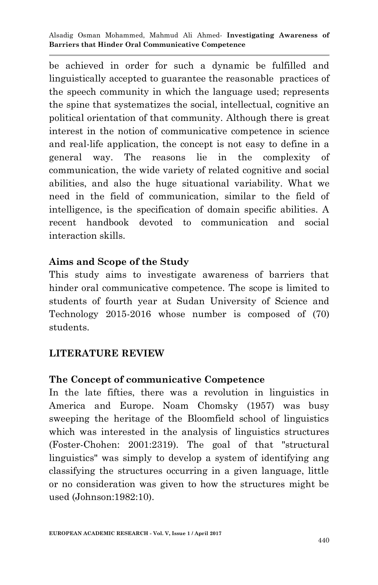be achieved in order for such a dynamic be fulfilled and linguistically accepted to guarantee the reasonable practices of the speech community in which the language used; represents the spine that systematizes the social, intellectual, cognitive an political orientation of that community. Although there is great interest in the notion of communicative competence in science and real-life application, the concept is not easy to define in a general way. The reasons lie in the complexity of communication, the wide variety of related cognitive and social abilities, and also the huge situational variability. What we need in the field of communication, similar to the field of intelligence, is the specification of domain specific abilities. A recent handbook devoted to communication and social interaction skills.

## **Aims and Scope of the Study**

This study aims to investigate awareness of barriers that hinder oral communicative competence. The scope is limited to students of fourth year at Sudan University of Science and Technology 2015-2016 whose number is composed of (70) students.

## **LITERATURE REVIEW**

#### **The Concept of communicative Competence**

In the late fifties, there was a revolution in linguistics in America and Europe. Noam Chomsky (1957) was busy sweeping the heritage of the Bloomfield school of linguistics which was interested in the analysis of linguistics structures (Foster-Chohen: 2001:2319). The goal of that "structural linguistics" was simply to develop a system of identifying ang classifying the structures occurring in a given language, little or no consideration was given to how the structures might be used (Johnson:1982:10).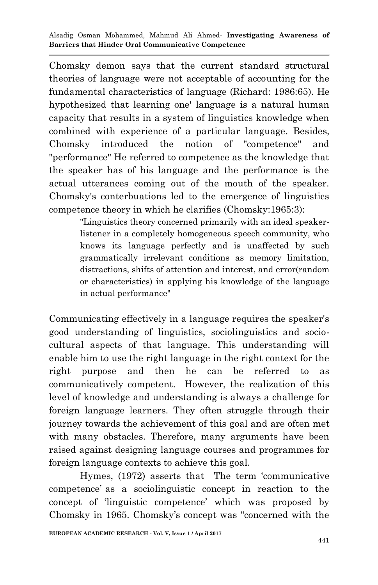Chomsky demon says that the current standard structural theories of language were not acceptable of accounting for the fundamental characteristics of language (Richard: 1986:65). He hypothesized that learning one' language is a natural human capacity that results in a system of linguistics knowledge when combined with experience of a particular language. Besides, Chomsky introduced the notion of "competence" and "performance" He referred to competence as the knowledge that the speaker has of his language and the performance is the actual utterances coming out of the mouth of the speaker. Chomsky's conterbuations led to the emergence of linguistics competence theory in which he clarifies (Chomsky:1965:3):

> "Linguistics theory concerned primarily with an ideal speakerlistener in a completely homogeneous speech community, who knows its language perfectly and is unaffected by such grammatically irrelevant conditions as memory limitation, distractions, shifts of attention and interest, and error(random or characteristics) in applying his knowledge of the language in actual performance"

Communicating effectively in a language requires the speaker's good understanding of linguistics, sociolinguistics and sociocultural aspects of that language. This understanding will enable him to use the right language in the right context for the right purpose and then he can be referred to as communicatively competent. However, the realization of this level of knowledge and understanding is always a challenge for foreign language learners. They often struggle through their journey towards the achievement of this goal and are often met with many obstacles. Therefore, many arguments have been raised against designing language courses and programmes for foreign language contexts to achieve this goal.

Hymes, (1972) asserts that The term "communicative competence" as a sociolinguistic concept in reaction to the concept of "linguistic competence" which was proposed by Chomsky in 1965. Chomsky"s concept was "concerned with the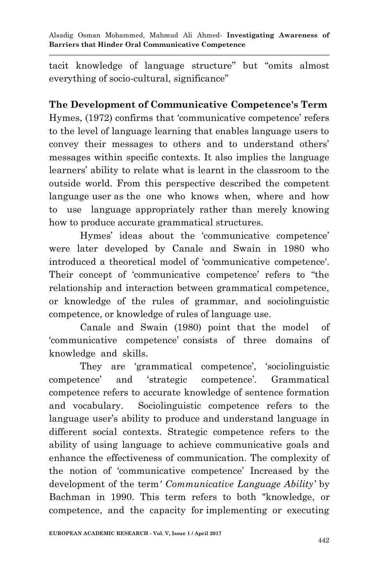tacit knowledge of language structure" but "omits almost everything of socio-cultural, significance"

## **The Development of Communicative Competence's Term**

Hymes,  $(1972)$  confirms that 'communicative competence' refers to the level of language learning that enables language users to convey their messages to others and to understand others" messages within specific contexts. It also implies the language learners" ability to relate what is learnt in the classroom to the outside world. From this perspective described the competent language user as the one who knows when, where and how to use language appropriately rather than merely knowing how to produce accurate grammatical structures.

Hymes' ideas about the 'communicative competence' were later developed by Canale and Swain in 1980 who introduced a theoretical model of "communicative competence'. Their concept of 'communicative competence' refers to "the relationship and interaction between grammatical competence, or knowledge of the rules of grammar, and sociolinguistic competence, or knowledge of rules of language use.

Canale and Swain (1980) point that the model of "communicative competence" consists of three domains of knowledge and skills.

They are 'grammatical competence', 'sociolinguistic competence" and "strategic competence". Grammatical competence refers to accurate knowledge of sentence formation and vocabulary. Sociolinguistic competence refers to the language user's ability to produce and understand language in different social contexts. Strategic competence refers to the ability of using language to achieve communicative goals and enhance the effectiveness of communication. The complexity of the notion of "communicative competence" Increased by the development of the term*' Communicative Language Ability'* by Bachman in 1990. This term refers to both "knowledge, or competence, and the capacity for implementing or executing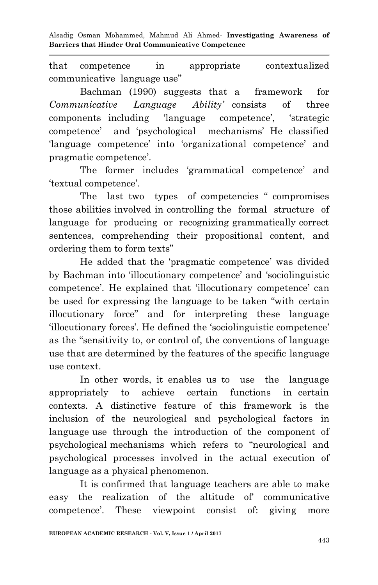that competence in appropriate contextualized communicative language use"

Bachman (1990) suggests that a framework for *Communicative Language Ability'* consists of three components including 'language competence', 'strategic competence" and "psychological mechanisms" He classified 'language competence' into 'organizational competence' and pragmatic competence'.

The former includes 'grammatical competence' and "textual competence".

The last two types of competencies " compromises those abilities involved in controlling the formal structure of language for producing or recognizing grammatically correct sentences, comprehending their propositional content, and ordering them to form texts"

He added that the "pragmatic competence" was divided by Bachman into "illocutionary competence" and "sociolinguistic competence'. He explained that 'illocutionary competence' can be used for expressing the language to be taken "with certain illocutionary force" and for interpreting these language "illocutionary forces". He defined the "sociolinguistic competence" as the "sensitivity to, or control of, the conventions of language use that are determined by the features of the specific language use context.

In other words, it enables us to use the language appropriately to achieve certain functions in certain contexts. A distinctive feature of this framework is the inclusion of the neurological and psychological factors in language use through the introduction of the component of psychological mechanisms which refers to "neurological and psychological processes involved in the actual execution of language as a physical phenomenon.

It is confirmed that language teachers are able to make easy the realization of the altitude of' communicative competence". These viewpoint consist of: giving more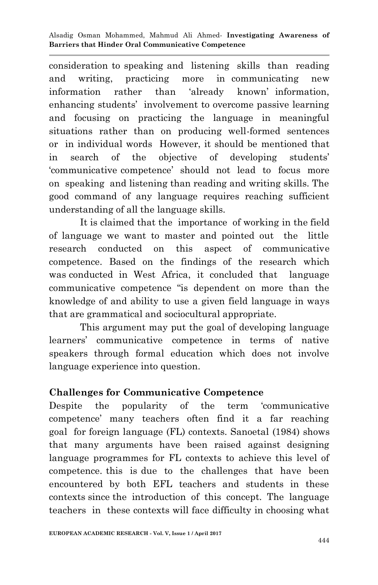consideration to speaking and listening skills than reading and writing, practicing more in communicating new information rather than "already known" information, enhancing students' involvement to overcome passive learning and focusing on practicing the language in meaningful situations rather than on producing well-formed sentences or in individual words However, it should be mentioned that in search of the objective of developing students" "communicative competence" should not lead to focus more on speaking and listening than reading and writing skills. The good command of any language requires reaching sufficient understanding of all the language skills.

It is claimed that the importance of working in the field of language we want to master and pointed out the little research conducted on this aspect of communicative competence. Based on the findings of the research which was conducted in West Africa, it concluded that language communicative competence "is dependent on more than the knowledge of and ability to use a given field language in ways that are grammatical and sociocultural appropriate.

This argument may put the goal of developing language learners" communicative competence in terms of native speakers through formal education which does not involve language experience into question.

## **Challenges for Communicative Competence**

Despite the popularity of the term "communicative competence" many teachers often find it a far reaching goal for foreign language (FL) contexts. Sanoetal (1984) shows that many arguments have been raised against designing language programmes for FL contexts to achieve this level of competence. this is due to the challenges that have been encountered by both EFL teachers and students in these contexts since the introduction of this concept. The language teachers in these contexts will face difficulty in choosing what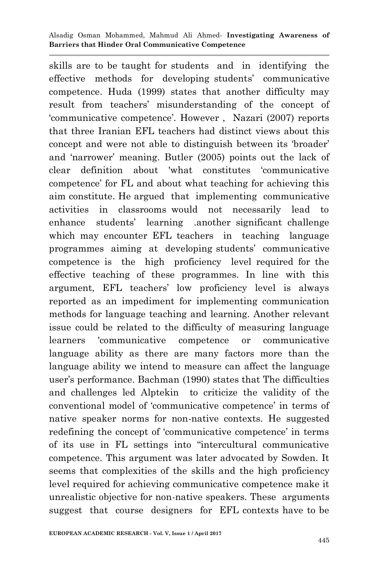skills are to be taught for students and in identifying the effective methods for developing students" communicative competence. Huda (1999) states that another difficulty may result from teachers" misunderstanding of the concept of "communicative competence". However , Nazari (2007) reports that three Iranian EFL teachers had distinct views about this concept and were not able to distinguish between its "broader" and "narrower" meaning. Butler (2005) points out the lack of clear definition about 'what constitutes "communicative competence" for FL and about what teaching for achieving this aim constitute. He argued that implementing communicative activities in classrooms would not necessarily lead to enhance students" learning .another significant challenge which may encounter EFL teachers in teaching language programmes aiming at developing students" communicative competence is the high proficiency level required for the effective teaching of these programmes. In line with this argument, EFL teachers" low proficiency level is always reported as an impediment for implementing communication methods for language teaching and learning. Another relevant issue could be related to the difficulty of measuring language learners 'communicative competence or communicative language ability as there are many factors more than the language ability we intend to measure can affect the language user"s performance. Bachman (1990) states that The difficulties and challenges led Alptekin to criticize the validity of the conventional model of "communicative competence" in terms of native speaker norms for non-native contexts. He suggested redefining the concept of 'communicative competence' in terms of its use in FL settings into "intercultural communicative competence. This argument was later advocated by Sowden. It seems that complexities of the skills and the high proficiency level required for achieving communicative competence make it unrealistic objective for non-native speakers. These arguments suggest that course designers for EFL contexts have to be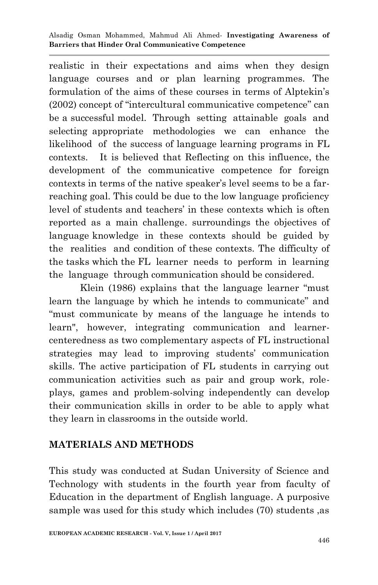realistic in their expectations and aims when they design language courses and or plan learning programmes. The formulation of the aims of these courses in terms of Alptekin"s (2002) concept of "intercultural communicative competence" can be a successful model. Through setting attainable goals and selecting appropriate methodologies we can enhance the likelihood of the success of language learning programs in FL contexts. It is believed that Reflecting on this influence, the development of the communicative competence for foreign contexts in terms of the native speaker"s level seems to be a farreaching goal. This could be due to the low language proficiency level of students and teachers' in these contexts which is often reported as a main challenge. surroundings the objectives of language knowledge in these contexts should be guided by the realities and condition of these contexts. The difficulty of the tasks which the FL learner needs to perform in learning the language through communication should be considered.

Klein (1986) explains that the language learner "must learn the language by which he intends to communicate" and "must communicate by means of the language he intends to learn", however, integrating communication and learnercenteredness as two complementary aspects of FL instructional strategies may lead to improving students' communication skills. The active participation of FL students in carrying out communication activities such as pair and group work, roleplays, games and problem-solving independently can develop their communication skills in order to be able to apply what they learn in classrooms in the outside world.

## **MATERIALS AND METHODS**

This study was conducted at Sudan University of Science and Technology with students in the fourth year from faculty of Education in the department of English language. A purposive sample was used for this study which includes (70) students ,as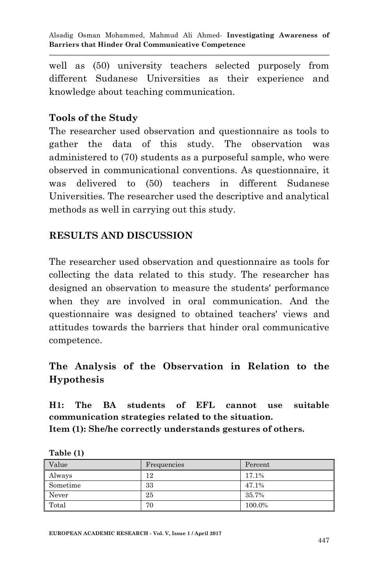well as (50) university teachers selected purposely from different Sudanese Universities as their experience and knowledge about teaching communication.

## **Tools of the Study**

The researcher used observation and questionnaire as tools to gather the data of this study. The observation was administered to (70) students as a purposeful sample, who were observed in communicational conventions. As questionnaire, it was delivered to (50) teachers in different Sudanese Universities. The researcher used the descriptive and analytical methods as well in carrying out this study.

## **RESULTS AND DISCUSSION**

The researcher used observation and questionnaire as tools for collecting the data related to this study. The researcher has designed an observation to measure the students' performance when they are involved in oral communication. And the questionnaire was designed to obtained teachers' views and attitudes towards the barriers that hinder oral communicative competence.

## **The Analysis of the Observation in Relation to the Hypothesis**

**H1: The BA students of EFL cannot use suitable communication strategies related to the situation. Item (1): She/he correctly understands gestures of others.**

| Value    | Frequencies | Percent |
|----------|-------------|---------|
| Always   | 12          | 17.1%   |
| Sometime | 33          | 47.1%   |
| Never    | 25          | 35.7%   |
| Total    | 70          | 100.0%  |

**Table (1)**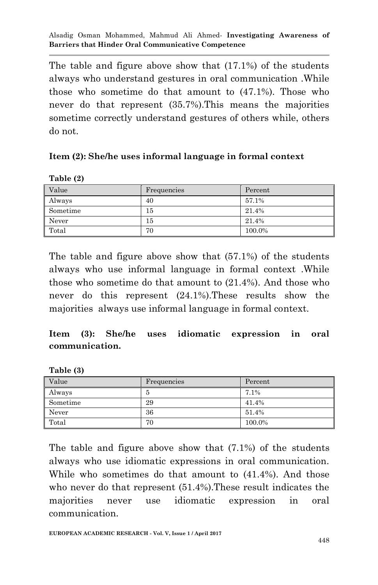The table and figure above show that (17.1%) of the students always who understand gestures in oral communication .While those who sometime do that amount to (47.1%). Those who never do that represent (35.7%).This means the majorities sometime correctly understand gestures of others while, others do not.

#### **Item (2): She/he uses informal language in formal context**

**Table (2)** 

**Table (3)** 

| Value    | Frequencies | Percent |
|----------|-------------|---------|
| Always   | 40          | 57.1%   |
| Sometime | 15          | 21.4%   |
| Never    | 15          | 21.4%   |
| Total    | 70          | 100.0%  |

The table and figure above show that (57.1%) of the students always who use informal language in formal context .While those who sometime do that amount to (21.4%). And those who never do this represent (24.1%).These results show the majorities always use informal language in formal context.

## **Item (3): She/he uses idiomatic expression in oral communication.**

| $ \cdots$ $\cdots$ |             |         |
|--------------------|-------------|---------|
| Value              | Frequencies | Percent |
| Always             | 5           | 7.1%    |
| Sometime           | 29          | 41.4%   |
| Never              | 36          | 51.4%   |
| Total              | 70          | 100.0%  |

The table and figure above show that (7.1%) of the students always who use idiomatic expressions in oral communication. While who sometimes do that amount to (41.4%). And those who never do that represent (51.4%).These result indicates the majorities never use idiomatic expression in oral communication.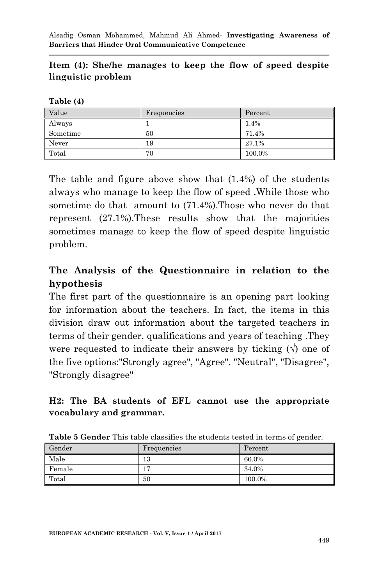### **Item (4): She/he manages to keep the flow of speed despite linguistic problem**

| l'able. |  |
|---------|--|
|---------|--|

| Value    | Frequencies | Percent |
|----------|-------------|---------|
| Always   |             | 1.4%    |
| Sometime | 50          | 71.4%   |
| Never    | 19          | 27.1%   |
| Total    | 70          | 100.0%  |

The table and figure above show that (1.4%) of the students always who manage to keep the flow of speed .While those who sometime do that amount to (71.4%).Those who never do that represent (27.1%).These results show that the majorities sometimes manage to keep the flow of speed despite linguistic problem.

## **The Analysis of the Questionnaire in relation to the hypothesis**

The first part of the questionnaire is an opening part looking for information about the teachers. In fact, the items in this division draw out information about the targeted teachers in terms of their gender, qualifications and years of teaching .They were requested to indicate their answers by ticking  $(\vee)$  one of the five options:"Strongly agree", "Agree". "Neutral", "Disagree", "Strongly disagree"

### **H2: The BA students of EFL cannot use the appropriate vocabulary and grammar.**

| Gender | Frequencies | Percent |
|--------|-------------|---------|
| Male   | 13          | 66.0%   |
| Female | 17          | 34.0%   |
| Total  | 50          | 100.0%  |

**Table 5 Gender** This table classifies the students tested in terms of gender.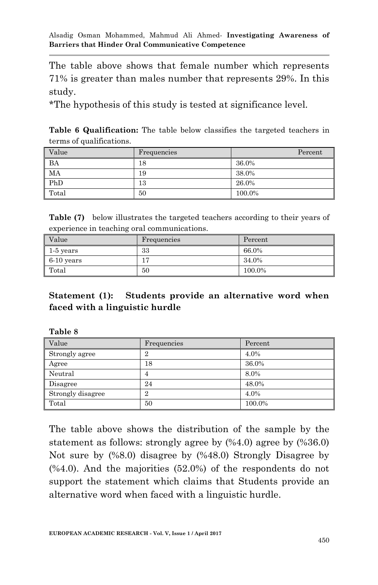The table above shows that female number which represents 71% is greater than males number that represents 29%. In this study.

\*The hypothesis of this study is tested at significance level.

**Table 6 Qualification:** The table below classifies the targeted teachers in terms of qualifications.

| Value | Frequencies | Percent |
|-------|-------------|---------|
| BA    | 18          | 36.0%   |
| MA    | 19          | 38.0%   |
| PhD   | 13          | 26.0%   |
| Total | 50          | 100.0%  |

| <b>Table (7)</b> below illustrates the targeted teachers according to their years of |
|--------------------------------------------------------------------------------------|
| experience in teaching oral communications.                                          |

| Value        | Frequencies    | Percent |
|--------------|----------------|---------|
| 1-5 years    | 33             | 66.0%   |
| $6-10$ years | $\overline{ }$ | 34.0%   |
| Total        | 50             | 100.0%  |

## **Statement (1): Students provide an alternative word when faced with a linguistic hurdle**

| ravit v           |                |         |
|-------------------|----------------|---------|
| Value             | Frequencies    | Percent |
| Strongly agree    | $\overline{2}$ | 4.0%    |
| Agree             | 18             | 36.0%   |
| Neutral           | 4              | 8.0%    |
| Disagree          | 24             | 48.0%   |
| Strongly disagree | $\overline{2}$ | 4.0%    |
| Total             | 50             | 100.0%  |

**Table 8**

The table above shows the distribution of the sample by the statement as follows: strongly agree by (%4.0) agree by (%36.0) Not sure by (%8.0) disagree by (%48.0) Strongly Disagree by  $(\%4.0)$ . And the majorities  $(52.0\%)$  of the respondents do not support the statement which claims that Students provide an alternative word when faced with a linguistic hurdle.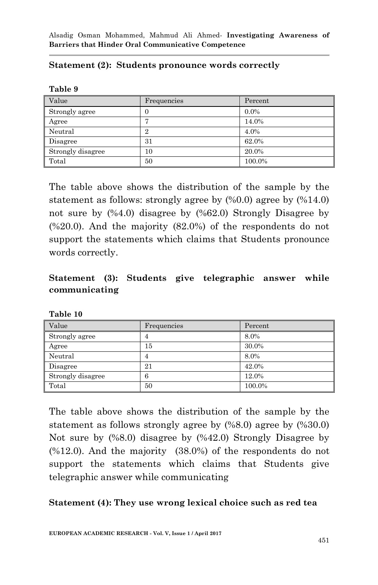#### **Statement (2): Students pronounce words correctly**

| anı |  |
|-----|--|
|-----|--|

| Value             | Frequencies    | Percent |
|-------------------|----------------|---------|
| Strongly agree    | U              | $0.0\%$ |
| Agree             | ┍              | 14.0%   |
| Neutral           | $\overline{2}$ | 4.0%    |
| Disagree          | 31             | 62.0%   |
| Strongly disagree | 10             | 20.0%   |
| Total             | 50             | 100.0%  |

The table above shows the distribution of the sample by the statement as follows: strongly agree by (%0.0) agree by (%14.0) not sure by (%4.0) disagree by (%62.0) Strongly Disagree by (%20.0). And the majority (82.0%) of the respondents do not support the statements which claims that Students pronounce words correctly.

## **Statement (3): Students give telegraphic answer while communicating**

| Value             | Frequencies | Percent |
|-------------------|-------------|---------|
| Strongly agree    | 4           | 8.0%    |
| Agree             | 15          | 30.0%   |
| Neutral           | 4           | 8.0%    |
| Disagree          | 21          | 42.0%   |
| Strongly disagree | 6           | 12.0%   |
| Total             | 50          | 100.0%  |

**Table 10**

The table above shows the distribution of the sample by the statement as follows strongly agree by (%8.0) agree by (%30.0) Not sure by (%8.0) disagree by (%42.0) Strongly Disagree by (%12.0). And the majority (38.0%) of the respondents do not support the statements which claims that Students give telegraphic answer while communicating

#### **Statement (4): They use wrong lexical choice such as red tea**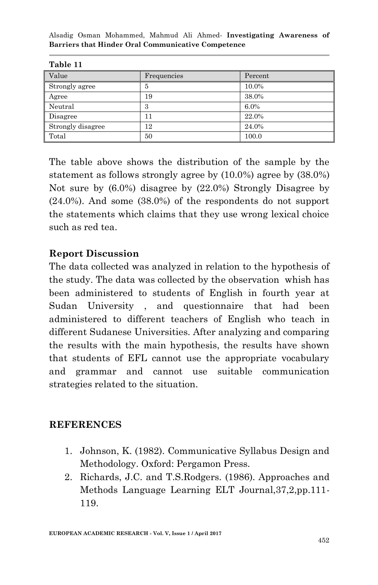| tavit 11          |             |         |
|-------------------|-------------|---------|
| Value             | Frequencies | Percent |
| Strongly agree    | 5           | 10.0%   |
| Agree             | 19          | 38.0%   |
| Neutral           | 3           | 6.0%    |
| Disagree          | 11          | 22.0%   |
| Strongly disagree | 12          | 24.0%   |
| Total             | 50          | 100.0   |

| ını<br>я<br>L |
|---------------|
|---------------|

The table above shows the distribution of the sample by the statement as follows strongly agree by (10.0%) agree by (38.0%) Not sure by (6.0%) disagree by (22.0%) Strongly Disagree by (24.0%). And some (38.0%) of the respondents do not support the statements which claims that they use wrong lexical choice such as red tea.

## **Report Discussion**

The data collected was analyzed in relation to the hypothesis of the study. The data was collected by the observation whish has been administered to students of English in fourth year at Sudan University , and questionnaire that had been administered to different teachers of English who teach in different Sudanese Universities. After analyzing and comparing the results with the main hypothesis, the results have shown that students of EFL cannot use the appropriate vocabulary and grammar and cannot use suitable communication strategies related to the situation.

#### **REFERENCES**

- 1. Johnson, K. (1982). Communicative Syllabus Design and Methodology. Oxford: Pergamon Press.
- 2. Richards, J.C. and T.S.Rodgers. (1986). Approaches and Methods Language Learning ELT Journal,37,2,pp.111- 119.